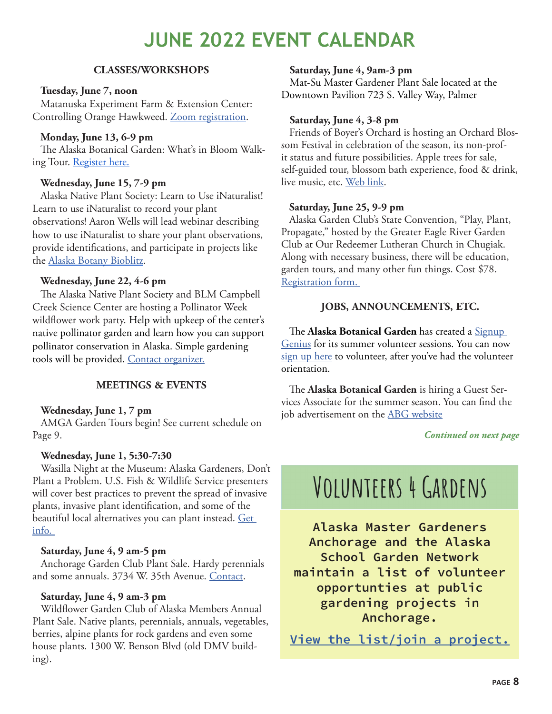### **JUNE 2022 EVENT CALENDAR**

#### **CLASSES/WORKSHOPS**

#### **Tuesday, June 7, noon**

Matanuska Experiment Farm & Extension Center: Controlling Orange Hawkweed. [Zoom registration.](https://alaska.zoom.us/meeting/register/tZErdOygqzwrHdT_jl4aSSXYR1wWitlS3WSq?_x_zm_rtaid=f4cCGpzRSFWtv4eun3b4Xg.1652811852305.f958d66dc6d6d6d20dc576fda5ec44fe&_x_zm_rhtaid=125&fbclid=IwAR1daN5HZKAPXNOlnxJV6E2R5pRFbCmcuPOrk6f-5ElTuZW43ctPiVNe6a8)

#### **Monday, June 13, 6-9 pm**

The Alaska Botanical Garden: What's in Bloom Walking Tour. [Register here.](https://www.alaskabg.org/upcoming-events/whats-in-bloom-walking-tour)

#### **Wednesday, June 15, 7-9 pm**

Alaska Native Plant Society: Learn to Use iNaturalist! Learn to use iNaturalist to record your plant observations! Aaron Wells will lead webinar describing how to use iNaturalist to share your plant observations, provide identifications, and participate in projects like the [Alaska Botany Bioblitz.](https://www.inaturalist.org/projects/alaska-botany-bioblitz)

#### **Wednesday, June 22, 4-6 pm**

The Alaska Native Plant Society and BLM Campbell Creek Science Center are hosting a Pollinator Week wildflower work party. Help with upkeep of the center's native pollinator garden and learn how you can support pollinator conservation in Alaska. Simple gardening tools will be provided. [Contact organizer.](mailto:president%40aknps.org?subject=)

#### **MEETINGS & EVENTS**

#### **Wednesday, June 1, 7 pm**

AMGA Garden Tours begin! See current schedule on Page 9.

#### **Wednesday, June 1, 5:30-7:30**

Wasilla Night at the Museum: Alaska Gardeners, Don't Plant a Problem. U.S. Fish & Wildlife Service presenters will cover best practices to prevent the spread of invasive plants, invasive plant identification, and some of the beautiful local alternatives you can plant instead. Get [info.](https://www.facebook.com/wasillamuseum/) 

#### **Saturday, June 4, 9 am-5 pm**

Anchorage Garden Club Plant Sale. Hardy perennials and some annuals. 3734 W. 35th Avenue. [Contact.](mailto:anchoragegc%40gmail.com?subject=)

#### **Saturday, June 4, 9 am-3 pm**

Wildflower Garden Club of Alaska Members Annual Plant Sale. Native plants, perennials, annuals, vegetables, berries, alpine plants for rock gardens and even some house plants. 1300 W. Benson Blvd (old DMV building).

#### **Saturday, June 4, 9am-3 pm**

Mat-Su Master Gardener Plant Sale located at the Downtown Pavilion 723 S. Valley Way, Palmer

#### **Saturday, June 4, 3-8 pm**

Friends of Boyer's Orchard is hosting an Orchard Blossom Festival in celebration of the season, its non-profit status and future possibilities. Apple trees for sale, self-guided tour, blossom bath experience, food & drink, live music, etc. [Web link.](https://alaskaorchard.org/blossom-party/)

#### **Saturday, June 25, 9-9 pm**

Alaska Garden Club's State Convention, "Play, Plant, Propagate," hosted by the Greater Eagle River Garden Club at Our Redeemer Lutheran Church in Chugiak. Along with necessary business, there will be education, garden tours, and many other fun things. Cost \$78. [Registration form.](https://www.alaskagardenclubs.org/_files/ugd/074082_66bba6c2bb7647c68f84a66ad2463b86.pdf) 

#### **JOBS, ANNOUNCEMENTS, ETC.**

The **Alaska Botanical Garden** has created a [Signup](https://www.signupgenius.com/go/abghorticulture)  [Genius](https://www.signupgenius.com/go/abghorticulture) for its summer volunteer sessions. You can now [sign up here](https://www.signupgenius.com/go/abghorticulture) to volunteer, after you've had the volunteer orientation.

The **Alaska Botanical Garden** is hiring a Guest Services Associate for the summer season. You can find the job advertisement on the [ABG website](https://www.alaskabg.org/employment
)

*Continued on next page*

# VOLUNTEERS 4 GARDENS

Alaska Master Gardeners Anchorage and the Alaska School Garden Network maintain a list of volunteer opportunties at public gardening projects in Anchorage.

[View the list/join a project.](https://docs.google.com/presentation/d/1yX6TW5yR_j60BK62gYHa0s27tMgqO8gR-Xe7MnZ8pNM/edit?usp=sharing)